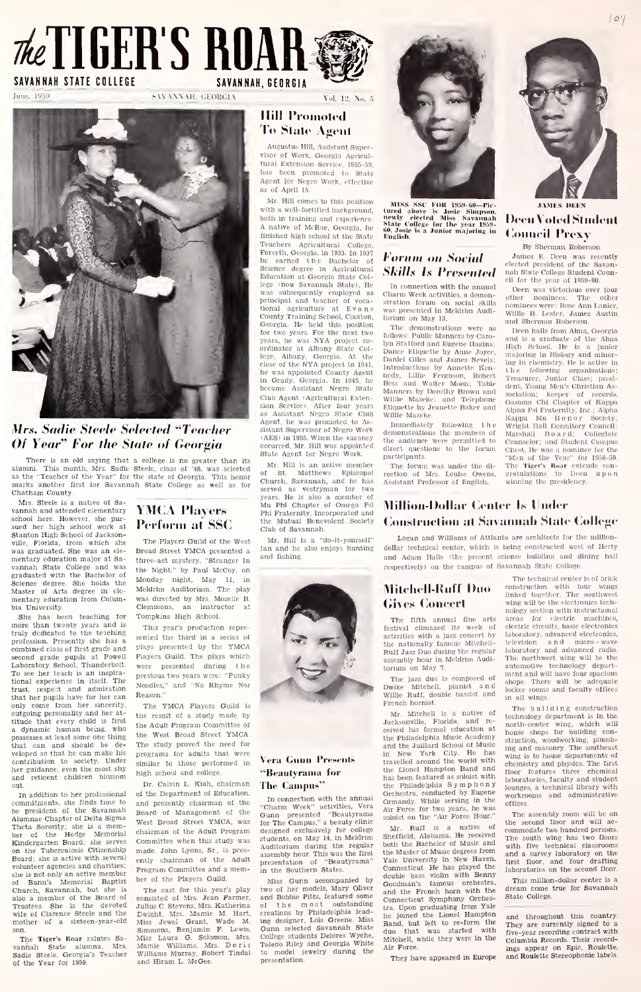



Mrs. Sadie Steele Selected "Teacher Of Year^' For the State of Georgia

There is an old saying that a college is no greater than its alumni. This month, Mrs. Sadie Steele, class of '48, was selected of  $\alpha$ <br>as the "Teacher of the Year" for the state of Georgia. This honor  $\alpha$ as the "reacher of the rear" for the state of Georgia. This honor<br>marks another first for Savannah State College as well as for Chatham County-

Mrs. Steele is a native of Sa-<br>vannah and attended elementary Chatham County Constant and attended elementary Theory and the pur-<br>warmah and attended elementary Theory at the school here. However, she pur-<br>school her high school of Jackson-<br>stanton High School of Jacksonville, Florida, from which she <sup>1</sup><br>was graduated. She was an ele- Bro mentary education major at Sa vannah State College and was graduated with the Bachelor of Science degree. She holds the Mo<br>Master of Arts degree in ele- Me<br>mentary education from Colum- wa bia University.

She has been teaching for Tor<br>more than twenty years and is  $\frac{1}{1-x}$ <br>truly dedicated to the teaching profession. Presently she has a combined class of first grade and<br>second grade pupils at Powell ruly dedicated to the teaching<br>profession. Presently she has a<br>combined class of first grade and pla<br>second grade pupils at Powell Pia<br>Laboratory School, Thunderbolt. were<br>To see her teach is an inspirational experience in itself. The trust, respect and admiration that her pupils have for her can only come from her sincerity, outgoing personality and her at-<br>titude that every child is first that every child is first a dynamic human being, who the n that can and should be de- The<br>veloped so that he can make his pro contribution to society. Under siming the society of the state of the control of the state of the control of the state of the state of the state of the state of the state of the state of the state of the state of the state and reticent children blossom out.

In addition to her professional commitments, she finds time to and<br>be president of the Savannah Boar<br>Alumnae Chapter of Delta Sigma Hing Theta Sorority; she is a mem-<br>
ber of the Hodge Memorial chai<br>
Kindergarten Board; she serves Com<br>
on the Tuberculosis Citizenship mad Board; she is active with several volunteer agencies and charities: she is not only an active member of Bunn's Memorial Baptist <sup>Der</sup><br>Church, Savannah, but she is<br>also a member of the Board of<br>Trustees. She is the devoted Jul<br>wife of Clarence Steele and the Dw mother of a sixteen-year-old

on.<br>The Tiger's Roar salutes Sa-<br>All Citate alumna, Mrs. The Tiger's Roar salutes Sa- vannah State alumna, Mrs. Sadie Steele, Georgia's Teacher of the Year for 1959.

# YMCA Players<br>Perform at SSC

The Players Guild of the West Broad Street YMCA presented <sup>a</sup> three-act mystery, "Stranger In the Night," by Paul McCoy, on Monday night, May 11. in Meldrim Auditorium. The play was directed by Mrs. Mozelle B. Clemmons, an instructor at Tompkins High School.

This year's production repre sented the third in a series of plays presented by the YMCA Players Guild. The plays which were presented during the previous two years were: "Punky Players Guild. The plays which<br>were presented during the<br>previous two years were: "Punky<br>Noodles," and "No Rhyme Nor<br>Reason." Reason."

The YMCA Players Guild is the result of a study made by the Adult Program Committee of the West Broad Street YMCA. The study proved the need for programs for adults that were similar to those performed in high school and college.

Dr. Calvin L. Kiah, chairman of the Department of Education, and presently chairman of the Board of Management of the West Broad Street YMCA. was chairman of the Adult Program Committee when this study was made. John Lyons, Sr.. is presently chairman of the Adult Program Committee and a member of the Players Guild.

The cast for this year's play<br>consisted of Mrs. Jean Farmer, consisted of Mrs. Jean Parmer, and Fund<br>Louight, Mrs. Mrs. Katherina of the Louight, Mrs. Mamle M. Hart, creation<br>Simmons, Benjamin F. Lewis, Gunn<br>Simmons, Benjamin F. Lewis, Gunn<br>Mimie Williams. Mrs. Dolet The Mamle Willi

### Hill Promoted **To State Agent**

Augustus Hill. Assistant Supervisor of Work. Georgia Asiicultural Extension Service, 1955-59 has been promoted to State Agent for Negro Work, effective as of April 15.

Mr. Hill comes to this position with a well-fortified background. both in training and experience. A native of McRae. Georgia, he finished high school at the State Teachers Agricultural College. Forsyth, Georgia. In 1933. In 1937 he earned the Bachelor of F<br>Science degree in Agricultural C Education at Georgia State Col-lege mow Savannah State). He was subscquently employed as principal and teacher of voca-tional agriculture at Evans County Training School, Claxton, Georgia. He held this position  $\rm _T$  for two years. For the next two  $\rm _{f\rm o\,Hz}$ years, he was NYA project co-<br>ordinator at Albany State College. Albany, Georgia. At the Da<br>close of the NYA project in 1941, Int he was appointed County Agent in Grady, Georgia. In 1945, he – Bes<br>became Assistant Negro State – Me Club Agent (Agricultural Extension Service). After four years as Assistant Negro State Club Agent, he was promoted to Assistant Supervisor of Negro Work<br>(AES) in 1955, When the vacancy the occurred, Mr. Hill was appointed State Agent for Negro Work.

Mr, Hill is an active member of St. Matthews Episcopal <sub>rec!</sub><br>Church, Savannah, and he has <sub>Ass</sub> served as vestryman for two<br>years. He is also a member of<br>Mu Phi Chapter of Omega Psi N Phi Fraternity, Incorporated and the Mutual Benevolent Society Club of Savannah.

Mr. Hill is a "do-it-yourself" fan and he also enjoys hunting and fishing.



#### Vera Gunn Presents '''Bfautyraina for The Campus"

In connection with the annual Correlation of Contra Borrow Correlation<br>Comm presented "Beautyrama Air correlation"<br>disc designed exclusively for college and designed exclusively for college and<br>Auditorium during the regula in the Southern States.

Miss Gunn accompanied by two of her models, Mary Oliver<br>and Bobbie Pitts, featured some of the most outstanding<br>creations by Philadelphia lead-<br>Comman designer, Lois Greene, Miss<br>Gunn selected Savannah State<br>due College students Delores Wyche, Mitcheledo Riley and Georgia White to model jewelry during the presentation.



MISS SSC FOR 1959-60—Fic-<br>|Ured :above is .losie Siimpson,<br>|newly elected Miss Savannah | De-<br>State College for the year 1959-<br>| De-Josie is a Junior majoring in | Co<br>| Baglish.

#### Forum on Social Skills Is Presented

In connection with the annual Charm Week activities, a demonstration forum on social skills. was presented In Meldrim Audl-torhun on May 13.

The demonstrations were as<br>follows: Public Manners by Carolyn Stafford and Eugene Haglns; Dance Etiquette by Anne Joyce, Daniel Giles and James Nevels; Int<br>Introductions by Annette Ken- Int nedy, Lillle Ferguson, Robert<br>Bess and Walter Moon; Table dent<br>Manners by Dorothy Brown and social<br>Willie Mazcke: and Telephone Gan<br>Etiquette by Jeanctte Baker and Alph<br>Willie Mazcke.<br>Kan Willie Mazeke; and Telephone<br>Etiquette by Jeanette Baker and Willie Mazcke.

Immediately following the demonstrations the members of  $\rm_{Mo}$ <br>the audience were permitted to  $\rm_{Co}$  direct questions to the Iorum  $\rm_{Ch}$ participants,

The forum was under the di- The<br>rection of Mrs. Louise Owens, grat Assistant Professor of English,



tæen voted Student — Conneil Prexy

By Sherman Roberson

Jumes K Deen was recently<br>elected president of the Savan-<br>nuh State College Student Council for the year of 1959-90.

Deen was victorious over four other nominees, The other nominees were: Hose Ann Lanier, Willie B. Lester, James Austin ...<br>and Sherman Roberson.

Deen halls from Alma, Georgia and is a graduate of the Alma<br>High School, He is a Junior<br>majoring in Biology and mlnor-<br>Ing in chemistry. He is active in<br>the following organizations:<br>Treasurer, Junior Class; presi-<br>dent, Young, Men's Christian Association; keeper of records,<br>Gamma Chi Chapter of Kappa arm, romas sens van Chrostel, and Student Chi Chappa<br>Alpha Pal Fraternlty, Inc.; Alpha<br>Alpha Pal Fraternlty, Inc.; Alpha<br>Wright Hall Dormitory Council;<br>Marshall Boar d; Collegiate<br>Counselor; and Student Campus<br>Student Camp Chest. He was a nominee for the "Man of the Year" for 1958-59,<br>The Tiger's Roar extends con-<br>gratulations to Deen upon<br>winning the presidency.

### Million-Dollar Center Is Under **Construction at Savannah State College**

Logan and Williams of Attlanta arc architects for the milliondollar technical center, which is being constructed west of Herty and Adam Halls fthe present science building and dining hall respectively) on the campus of Savannah State Colloge.

#### Mitchell-Ruff Duo **Gives Concert**

The fifth annual fine arts festival climaxed Its week of activities with a Jazz concert by the nationally famous Mitchell-Ruff Jazz Duo during the regular – lab<br>assembly hour in Meldrim Audi- – Th torium on May 7.

The jazz duo is composed of<br>wike Mitchell, planist and Dwike Mitchell, planist and snops<br>Willie Ruff, double bassist and <sub>in all</sub> French hornist.

Mr. Mitchell is a native of Jacksonville. Florida, and re-<br>ceived his formal education at  $\frac{100}{h}$ the Philadelphia Music Academy and the Juillard School of Music struction, woodworking, plumbeast<br>in New York City. He has img and masonry. The southeast in New York City. He has travelled around the world with the Lionel Hampton Band and has been featured as soloist with<br>the Philadelphia Symphony <sub>lounges</sub> Orchestra, conducted by Eugene<br>Ormandy. While serving in the office Air Force for two years, he was<br>soloist on the "Air Force Hour." Th

Mr. Ruff is a native of<br>Sheffield. Alabama. He received The<br>both the Bachelor of Music and<br>the Master of Music degrees from and Yale University in New Haven, first<br>Connecticut. He has played the labe double bass violin with Benny<br>Goodman's famous orchestra, Th and the French horn with the Connecticut Symphony Orches-tra. Upon graduating from Yale he joined the Lionel Hampton Band, but left to re-form the  $_{\rm The}$ duo that was started with  $_{\rm five}$ Mitchell, while they were in the Air Force.

They have appeared in Europe

The technical center isof brick construction with four wings linked together. The southwest The technical center is of brick<br>construction with Iour wings<br>linked together. The southwest<br>wing will be the electronics tech-<br>nology section with instructional areas for electric machines, electric circuits, basic electronics laboratory, advanced electronics, television and micro - wave laboratory and advanced radio. The northwest wing will be the automotive technology depart ment and will have four spacious<br>shops. There will be adequate<br>locker rooms and faculty offices In all wings.

The building construction technology department is in the<br>north-center wing, which will<br>house shops for building construction, woodworking, plumb-<br>ing and masonry. The southeast wing is to house departments of<br>chemistry and physics. The first<br>floor features three chemical<br>laboratories, faculty and student<br>lounges, a technical library with<br>workrooms and administrative offices.

The assembly room will be on the second floor and will ac commodate two hundred persons. The south wing has two floors with five technical classrooms and a survey laboratory on the first floor, and four drafting laboratories on the second floor.

This million-dollar center is a dream come true for Savannah State College.

and throughout this country. They are currently signed to a five-year recording contract with Columbia Records. Their record-ings appear on Epic, Roulette, and Roulette Stereophonic labels.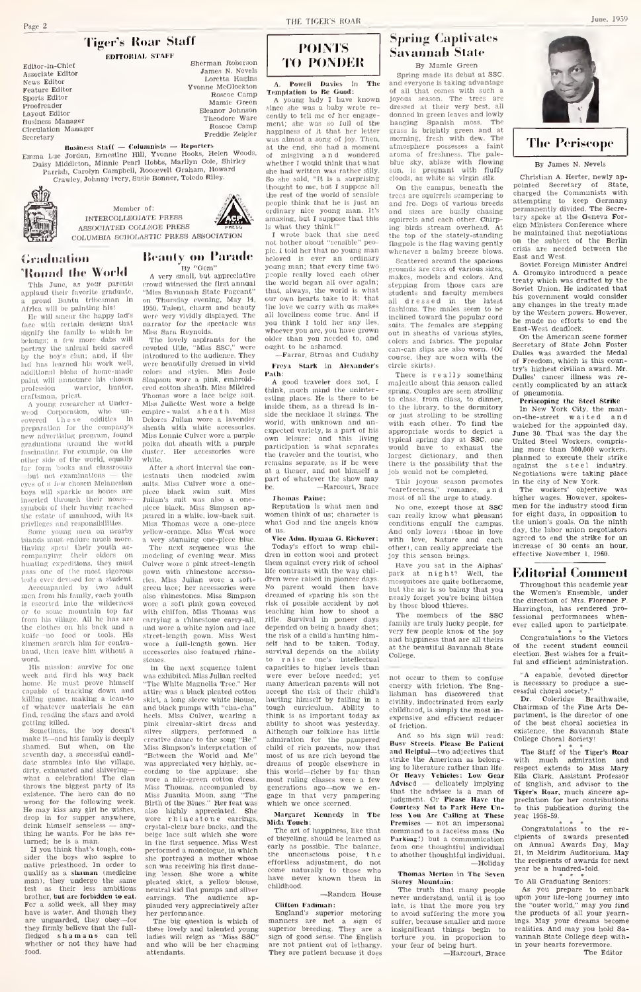#### **Tiger's Roar Staff** EDITORIAL STAFF

Editor-in-Chlef Accoriate Editor None Editor **Feature Editor** Sports Editor Proofreader Lavout Editor najvar baire.<br>Dosbore Manager

Business manager<br>Circulation Manager Secretary

Theodore Ware<br>Roscoc Camp<br>Freddie Zeigler **Business Staff - Columnists** - Reporters nussuess statt - tonuments - reporters<br>Emma Luc Jordan, Ernestine Hill, Yvonne Hooks, Helen Woods, Daisy Middleton, Minnie Pearl Hobbs, Marllyn Cole, Shirley

Member of:

INTERCOLLEGIATE PRESS

ASSOCIATED COLLISOE PRESS

COLUMBIA SCHOLASTIC PRESS ASSOCIATION

Howard Parrish, Carolyn Campbell, Roosevelt Graham, Crawley, Johnny Ivery, Susie Bonner, Toledo Riley.



#### Geaduation **Round the World**

This June, as your parents proud Bantu tribesman in Africa will be painting his!

He will smear the happy lad's  $t$ nce with certain designs  $+1$ face with certain designs that<br>signify the family to which he<br>belongs; a few more dabs will<br>portray the animal held sacred bortray the boy's clan; and, if the<br>by the boy's clan; and, if the<br>ind has learned his work well,<br>additional blobs of home-made paint will announce his chosen<br>profession warrior, hunter,

eratisman, priest.<br>A young researcher at Under-<br>weed Corporation, who un-Corporation, who uncovered these oddities new advertising program, found<br>graduations around the world fascinating. For example, on the other skle of the world, equally far form books and classrooms  $-$  the

but not examinations  $-$  t boys will sparkle as bones are inserted through their nosessymbols of their having reached estate of manhood, with its privileges and responsibilities.

Some young men on nearby<br>dands must endure much more. Having spent their youth acrompanylng  $\sim$   $\sim$ bunting expeditions, they must as one of the most ricorous lests ever devised for a studen Accompanied by two adult

men from his family, each youth is escorted into the wilderness or to some mountain top far<br>from his village. All he has are the clothes on his back and a<br>knife -no food or tools. His<br>kinsmen search him for contraband, then leave him without a word His avission: surgive for one

week and find his way home. He must prove himself<br>capable of tracking down and killing game, making a lean-to find, reading the stars and avoid getting killed.

getting kinea.<br>Sometimes, the boy doesn't<br>make it—and his family is deeply shamed. But when, on the seventh day, a successful candi shamed. on the date stumbles into the village. dirty, exhausted and shivering<br>what a celebration! The cl The cla throws the biggest party of its<br>existence. The hero can do no<br>wrong for the following week. He may kiss any girl he wishes, drop in for supper anywhere, drink himself senseless  $-$  anything he wants. For he has returned; he is a man.<br>If you think that's tough, con-

sider the boys who aspire to<br>native priesthood. In order to qualify as a shaman (medicine man), they undergo the same ambitious test as their less ler, but are forbidden to eat For a solid week, all they may have is water. And though they are is water, that thought they<br>are unguarded, they obey—for<br>they firmly believe that the fullfledged shamans can tell<br>whether or not they have had

### **Beauty on Parade** By "Gem"<br>A very small, but appreciative

Sherman Roberson

Loretta Hagins<br>Experts Hagins<br>Yvonne McGlockton

James N. Nevels

Roscoe Camp

Mamic Green

Eleanor Johnson

A very sman, our appreciative<br>crowd witnessed the first annual<br>"Miss Savannah State Pageant" Thursday evening, May 14,<br>6. Talent, charm and headty  $\sim$ n were very vividly displayed. The were very viviory displayed, The<br>narrator for the spectacle was<br>Miss Sara Reynolds,

wiss carn regionalization of the<br>covoted title, "Miss SSC," were<br>introduced to the audience. They were beautifully dressed in vivid<br>colors and styles. Miss Josle Simpson wore a pink, embroid-<br>ered cotton sheath. Miss Mildred Thomas wore a lace beige suit.<br>Miss Juliette West wore a beige empire - waist sheath. Miss<br>Delores Julian wore a lavender<br>sheath with white accessories. Miss Lonnic Culver wore a purple<br>polka dot sheath with a purple<br>duster. Her accessories were white

......<br>After a short interval the contestants then modeled<br>sults. Miss Culver wore *south* a oneplece black swim suit. Miss<br>Julian's suit was also a one-<br>piece black. Miss Simpson appiece mack, miss simpson ap-<br>pacarel in a white, low-back suit.<br>Miss Thomas wore a one-piece<br>yellow-orange. Miss West wore<br>a very stanning one-piece blue.

The The next sequence was the<br>pdeling of evening wear, Miss Cuiver wore a pink street-length gown with rhinestone accessories. Miss Julian wore a softgreen lace; her accessories were<br>also rhinestones. Miss Simpson wore a soft plnk gown covered<br>with chiffon. Miss Thomas was carrying a chinestone carry-all. and wore a white nylon and lace street-length gown. Miss West<br>wore a full-length gown. Her orles also featured rhinencces stones.

in the next sequence talent was exhibited. Miss Julian recited "The White Magnolia Tree." Her<br>attire was a black pleated cotton skirt, a long sleeve white blouse, and black pumps with "cha-cha"<br>heels. Miss Culver, wearing a<br>pink circular-skirt dress and  $nnd$ silver slippers, performed<br>creative dance to the song "He ereative dance to the song "He."<br>Miss Shnpson's interpretation of<br>"Between the World and Me"<br>was appreciated very highly, ac-<br>cording to the applause; she<br>wore a nile-green cotton dress. Miss Thomas, accompanie<br>Miss Juanita Moon, sang accompanied by .<br>The Birth of the Blues." Her feat was Burth of the Butes." Her feat was<br>also highly appreciated. She<br>wore rhinestone earrings. erystal-clear bare backs, and the<br>beige lace suit which she wore in the first sequence. Miss West<br>performed a monologue, in which she portraved a mother whose sne portrayea a mother whose<br>imp lesson. She wore a white<br>ing lesson. She wore a white<br>pleated skirt, a yellow blouse,<br>neutral kid flat pumps and sllver earrings. The audience ap-<br>plauded very appreciatively after

her performance.<br>The big question is which of these lovely and talented young<br>ladies will reign as "Miss SSC"<br>and who will be her charming attendants

THE TIGER'S ROAR



A. Powell Davies in The Temptation to Be Guod:

Temptation to Be Guad:<br>A young lady I have known<br>since she was a baby wrote re-<br>cently to tell me of her engage-<br>ment; she was so full of the<br>happiness of it that her letter was almost a song of joy. Ther of the and she had a moment misglving  $\sim$  n d wondorer of misgiving and wondered<br>whether I would think that what she had written was rather silly she had written was rather siny.<br>So she said, "It is a surprising<br>Thought to me, but I suppose all the rest of the world of sensible<br>people think that he is just an ordinary nice young man. It's<br>amazing, but I suppose that this<br>is what they think!"

I wrote back that she need<br>not bother about "sensible" people. I told her that no young man pic. I told not that no young man<br>beloved is ever an ordinary<br>voong man: that every time two young main, that every time two<br>people really loved each other<br>the world began all over again; that, always, the world is what our own hearts take to it; the love we carry with us makes the love we carry with us makes<br>all loveliness come true. And if<br>you think I told her any lles. whoever you are, you have grown<br>older than you needed to, and oner than you needed to, and<br>ought to be ashamed.<br>-Farrar, Straus and Cudahy

Erays Stark in Akeander's Path:

A good traveler does not. I think, much mind the uninter-<br>esting places. He is there to be inside them, as a thread is in-<br>side the necklace it strings. The world, with unknown and up. expected variety, is a part of his own lelsure; and this living<br>participation is what separates own reisure, and this nying<br>participation is what separates<br>the traveler and the tourist, who remains separate, as if he were<br>at a theaer, and not himself a part of whatever the show may<br>be. — Harcourt, Brace

#### Thomas Paine:

Reputation is what men and<br>women think of us; character is what God and the angels kno of us.

Vice Adm. Hyman G. Rickover Today's effort to wrap chil drep in cotton wool and protect them against every risk of life contrasts with the way children were raised in pior days No parent would then have<br>dreamed of sparing his son the<br>risk of possible accident by not teaching him how to shoot a<br>rifle. Survival in poneer days depended on being a handy shot risk of a child's hurting self had to be taken. Today,<br>survival depends on the ability to raise one's intellectual<br>canacities to higher levels than were ever before needed; yet<br>many American parents will not accept the risk of their child's<br>hurting himself by failing in a tough curriculum. Ability to<br>think is as important today as ability to shoot was yesterday<br>Although our folklore has little admiration for the pampered<br>child of rich parents, now that most of us are rich beyond the dreams of people elsewhere in<br>this world—richer by far than most ruling classes were a few generations ago-now we engage in that very pampering<br>which we once scorned.

#### Margaret Kennedy in The Mida Touch:

The art of happiness, like that of bicycling, should be learned as<br>early as possible. The balance,<br>the unconscious poise, the the unconscious poise, the<br>effortless adjustment, do not<br>come naturally to those who<br>have never known them in childhood.  $-Random$  House

 $\begin{tabular}{ll} \bf Clifton \textbf{Fadiman:} \\ \bf{England's \textbf{ superior} motoring \\ \textbf{manners are not a sign of} \\ \textbf{superior breeding. They are a \\ sign of good sense. The English \\ \textbf{are not patient out of lefthargs.} \end{tabular}$ They are patient bed ause it d

#### **Spring Captivates** Savannah State By Mamle Green

Goving mode its debut of SSC and everyone is taking advantage of all that comes with such a byous season. The trees are<br>dressed at their very best, all<br>donned in green leaves and lowly donned in green leaves and lowly<br>hanging Spanish moss. The<br>grass is brightly green and at<br>morning, fresh with dew. The<br>atmosphere possesses a faint morning, iresin with uew. In<br>atmosphere possesses a faint<br>aroma of freshness. The pale-<br>blue sky, ablaze with flowing con is pregnant with fiaffy nds, as white as virgin silk

On the campus, beneath the<br>trees are squirrels scampering to and fro. Dogs of various breeds and ito. Dogs of various breed<br>and sizes are busily chasing<br>squirrels and each other. Chirp سادس ده<br>chasing squirres and each other, emp-<br>ing birds stream overhead. At<br>the top of the stately-standing flamele is the flag waying gently whenever a balmy breeze blows

Scattered around the spacious grounds are cars of various sizes makes, models and colors. And stepping from those cars are<br>students and faculty members students and natury members<br>all dressed in the latest<br>fashions. The males seem to be inclined toward the popular cord<br>saits. The females are stepping out in sheaths of various styles out in sheaths of various styles<br>tolors and fabrics. The popular can-can slips are also worn. (Of course, they are worn with the circle skirts)

There is really something majestic shout this sesson called majestic about this season called<br>spring. Couples are seen strolling to class, from class, to dinner,<br>to the library, to the dormitory or just strolling to be strolling<br>with each other. To find the<br>appropriate words to depict a typical spring day at SSC, one would have to exhaust the largest dictionary, and then  $there is the possibility$ that the job would not be completed.

This joyous season promotes<br>carefreeness." romance, and most of all the urge to study

No one, except those at SSC can really know what pleasant conditions engulf the campus. And only lovers (those in love<br>with love, Nature and each<br>other), can really appreciate the joy this season brings.

Have you sat in the Alphas'<br>ark at night? Well, the park at night? Well, the<br>mosquitoes are quite bothersome,<br>but the air is so balmy that you nearly forget you're being bitten by those blood thieves.

The members of the  $rac{1}{2}$ family are truly lucky people, for very few people know of the joy and happiness that are all theirs at the beautiful Savannah State College.

not occur to them to confuse<br>energy with friction. The Englishman has discovered that civility, indoctrinated from early childhcod, is simply the most inxpensive and efficient reducer of friction.

And so his sign will read: Busy Streets. Please Be Patient<br>and Helpful—two adjectives that strike the American as helonging to literature rather than li  $_{\rm Or}$ Heavy Vehicles: Low Gear<br>ised - delicately implying implying Advised delicately that the advisee is a man of<br>judgment. Or Please Have the juggenel. Or Please Have the<br>Courtesy Not to Park Here Un-<br>less You Are Calling at These<br>Premises — not an impersonal<br>command to a faceless mass (No<br>Parking!) but a communication<br>from one thoughtful individual<br>from one tho to another thoughtful individual -Holiday

### Thomas Merton in The Seven

Storey Mountain:<br>The truth that many people ver understand, until it is too late, is that the more you try<br>to avoid suffering the more you suffer, because smaller and more<br>insignificant things begin to torture you, in proportion to your fear of being hurt.

............<br>-Harcourt, Brace



### **The Periscope**

By James N Nevels

Christian A. Herter, newly appointed Secretary of State,<br>charged the Communists with attempting to keep Germany<br>permanently divided. The Secretory spoke of the Geneva Forign Ministers Conference where eagli multisters contenente where<br>the maintained that negotiations<br>on the subject of the Berlin<br>crisis are needed between the<br>East and West.

wiet Foreign Minister Andrei Gromyko introduced a peace treaty which was drafted by the<br>Soviet Union. He indicated that his government would consider changes in the treaty made anv by the Western nowers. However he made no efforts to end the East-West deadlock

On the American scene former Secretary of State John F Dulles was awarded the Medal of Freedom, which is this coun-<br>try's highest civilian award. Mr. Dulles' cancer illness was re-<br>cently complicated by an attack

## of pneumonia.<br>Periscoping the Steel Strike

In New York City, the man-<br>n-the-street waited and on-the-street waited and<br>watched for the appointed day,<br>June 30. That was the day the<br>United Steel Workers, comprising more than 500,000 workers,<br>planned to execute their strike parameter of steel industry.<br>Negotiations were taking place<br>in the city of New York.

The workers' objective was higher wages. However, spokesmen for the industry stood firm for eight days, in opposition to<br>the union's goals. On the ninth day, the labor union negotiators agreed to end the strike for an increase of 30 cents an effective November 1, 1960

#### **Editorial Comment**

Throughout this academic year the Women's Ensemble, under<br>the direction of Mrs. Florence F. Harrington, has rendered pro-<br>fessional performances whenever called upon to participate

Congratulations to the Victors of the recent student council<br>election. Best wishes for a fruitful and efficient administration

"A capable, devoted director is necessary to produce a successful choral society."

Dr. Coleridge Braithwaite,<br>Chairman of the Fine Arts Department, is the director of one of the best choral societies in existence, the Savannah State<br>College Choral Society!

The Staff of the Tiger's Roar with much admiration<br>respect extends to Miss and Mary  $\frac{1}{2}$ Ella Clark, Assistant Professor<br>of English, and advisor to the Tiger's Roar, much sincere appreclation for her contributions to this publication during the vear 1958-59.

ear 1958–59.<br>Congratulations to the recompression of awards presented<br>on Annual Awards Day, May 21, in Meldrim Auditorium. May the recipients of awards for next year be a hundred-fold.

To All Graduating Seniors

As you prepare to embark<br>apon your life-long journey into the "outer world," may you find the buter world, may you rind<br>the products of all your yearn-<br>ings. May your dreams become realities. And may you hold Sa-<br>vannah State College deep within your hearts forevermore.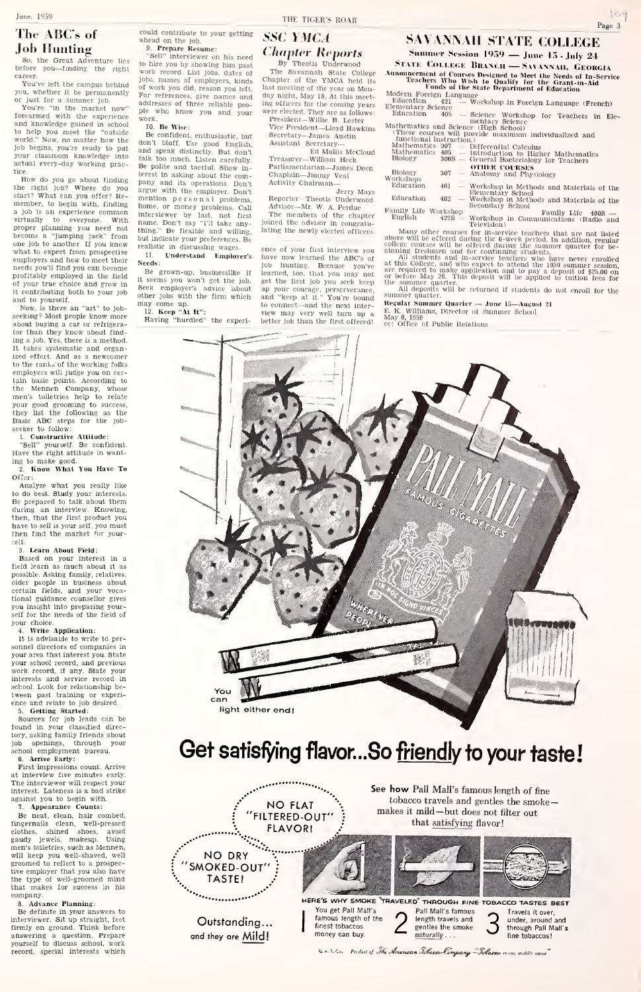#### The ABC's of Job Hunting

So. the Great Adventure lies before you—finding the right

You've left the campus hebind You've left the campus behind<br>you. whether it be permanently<br>ror just for a summer job.<br>You're "in the market now"<br>forearmed with the experience<br>forearmed with the experience

forearmed with the experience work to help you meet the "outside <sub>F</sub><br>world." Now, no matter how the <sub>dor</sub> job begins, you're ready to put <sub>and</sub><br>your classroom knowledge into <sub>tall</sub> actual every-day working prac-

ter.<br>How do you go about finding part the right job? Where do you arg start of the start of the start of the results of the right in the right job? Where do you argust that can you offer? Re- member, to begin with, finding home state: what can you offer: Re-<br>member, to begin with, finding<br>a job is an experience common virtually to everyone. With nam<br>proper planning you need not thin<br>become a "jumping jack" from but i<br>one job to another. If you know really<br>what to expect from prospective employers and how tomeet their you'll find you can become profitably employed in the field the grown-up, businessilke if<br>of your true choice and grow in the seems you won't get the job.<br>it contributing both to your ich. Seek employer's advice about of your true choice and grow in<br>it contributing both to your job

and to yourself.<br>Now, is there an "art" to job-  $\begin{array}{c} \overline{m} \\ 12 \\ \overline{H} \end{array}$ <br>seeking? Most people know more and buying a car or refrigers tor than they know about find- ing a job. Yes. there is a method. It takes systematic and organized effort. And as a newcomer<br>to the ranks of the working folks employers will judge you on cer-<br>tain basic points. According to the Mennen Company, whose men's toiletries help to relate your good grooming to success, they list the following as the<br>Basic ABC steps for the jobseeker to follow:

1. Constructive Attitude: "Sell" yourself. Be confident. seeker to follow:<br>
1. **Constructive Attitude:**<br>
"Sell" yourself. Be confident<br>Have the right attitude in want-<br>ing to make good. ing to make good.

2. Know What You Have To

Offer: Analyze what you really like to do best. Study your interests.<br>Be prepared to talk about them during an interview. Knowing, then, that the first product you have to sell is your self, you must then find the market for your-

#### self.<br>3. Learn About Field:

Based on your interest in a field learn as much about itas possible. Asking family, relatives, older people in business about certain fields, and your voca-tional guidance counsellor gives you insight into preparing yourself for the needs of the field of your choice.

4 Write Application: It is advisable to write to per sonnel directors of companies in your area that interest you. State your school record, and previous work record, if any. State your interests and service record in school. Look for relationship be-<br>tween past training or experi-

ence and relate to job desired. 5 Getting Started: Sources for job leads can be found in your classified direc-tory, asking family friends about job openings, through your school employment bureau. 6. Arrive Early:

First impressions count. Arrive at interview five minutes early. The interviewer will respect your interest. Lateness is a bad strike against you to begin with.

Appearance Counts: Be neat, clean, hair combed. fingernails clean, well-pressed clothes, shined shoes, avoid gaudy jewels, makeup. Using men's toiletries, such as Mennen. will keep you well-shaved, well groomed to reflect to a prospec-tive employer that you also have the type of well-groomed mind that makes for success in his company.

#### Advance Planning:

Be definite in your answers to interviewer. Sit up straight, feet firmly on ground. Think before answering a question. Prepare yourself to discuss school, work record, special interests which

could contribute to your getting ahead on the job.

9. Prepare Resume: "Sell" interviewer on his need to hire you by showing him past work record. List jobs, dates of jot'3. names of employers, kinds of work you did. reason you left. For references, give names and addresses of three reliable peo-ple who know you and your work. 10. Be Wise:

Be confident, enthusiastic, but<br>don't bluff. Use good English, don't bluff. Use good English, and speak distinctly. But don't talk too much. Listen carefuly.<br>The polite and tactful. Show in-<br>Per polite and its operations. Don't Apany and its operations. Don't Apany and its operations. Don't<br>margine with the employer. Don't mention per so nall pro but indicate your preferences. Be realistic in discussing wages.

Understand Employer's Needs:

Be grown-up. businesslike if it seems you won't get the job.<br>Seek employer's advice 'about up<br>other jobs with the firm which and<br>may come up.<br>12. Keep "At U":<br>Having "hurdled" the experi-bett<br>Having "hurdled" the experi-

June. <sup>1959</sup> THE TIGERS ROAR

## SSC YMCA

## Chapter Reports

By Theotls Underwood<br>The Savannah State College An<br>Chapter of the YMCA held Its<br>last meeting of the year on Mon-<br>day night, May 18, At this meeting officers for the coming years<br>were elected. They are as follows: President—Willie B. Lester

Vice President—Lloyd Hawkins <sup>— Mil</sup><br>Secretary—James Austin Assistant Secretary-

Ed Mullis McCloud ea nums mecloud<br>Treasurer—William Heck<br>Parliamentarian—James Decn

Parliamentarian—James Deen Chaplain—Jimmy Veal Activity Chairman-Jerry Mays

Reporter—Theotis Underwood<br>Advisor—Mr. W. A. Perdue<br>The members of the chapter<br>joined the advisor in congratu-

lating the newly elected officers.

ence of your first interview you gin<br>have now learned the ABC's of<br>Job hunting. Because you've at learned, too, that you may not<br>learned, too, that you may not or<br>get the first job you seek keep the up your courage, perserverance,<br>and "keep at it." You're bound<br>to connect—and the next inter-<br>view may very well turn up a<br>better job than the first offered!<br> $\frac{\text{Mag}}{\text{c}c}$ .

## SAVANNAH STATE COLLEGE

Summer Session  $1959$  — June  $15$  - July 24 State College Branch — Savannah, Georgia

Amasumerment of Concrete Designect to Met the Noods of In-Service Funds of the State Department of Koncretion Modern Foreign Language of the Orant-in-Aid Funds of the State ncparle ncparle in-Aid  $\frac{421}{\sqrt{10}}$  — Worksho

Equention 421 — Workshop in Foreign Language (French)<br>Elementary Science — Science Workshop for Teachers in Ele-<br>Education 405 — Science Workshop for Teachers in Ele-<br>Mathematics and Science (High School)

| mentary Science |                                                        |      |  |                                                                 |
|-----------------|--------------------------------------------------------|------|--|-----------------------------------------------------------------|
|                 | Mathematics and Science (High School)                  |      |  |                                                                 |
|                 | (These courses will provide maximum individualized and |      |  |                                                                 |
|                 | functional instruction.)                               |      |  |                                                                 |
|                 |                                                        |      |  | Mathematics 307 - Differential Calculus                         |
|                 |                                                        |      |  | Mathematics 405 - Introduction to Higher Mathematics            |
|                 | Biology                                                |      |  | 306S - General Bacteriology for Teachers                        |
|                 |                                                        |      |  | <b>OTHER COURSES</b>                                            |
|                 | Biology                                                | 307  |  | - Anatomy and Physiology                                        |
|                 | <b>Workshops</b>                                       |      |  |                                                                 |
|                 | Education                                              | 461  |  |                                                                 |
|                 |                                                        |      |  | - Workshup in Methods and Materials of the<br>Elementary School |
|                 | Education                                              | 402  |  |                                                                 |
|                 |                                                        |      |  | - Workshop in Methods and Materials of the                      |
|                 | Family Life Workshop                                   |      |  | Secondary School                                                |
|                 | English                                                | 4228 |  | Family Life 480S -                                              |
|                 |                                                        |      |  | Workshop in Communications (Radio and<br>Tologiston)            |
|                 |                                                        |      |  |                                                                 |

Many other connect Technisland, and the connect that are not listed in<br>polynomial connect that the other density of the connect of the connect<br>polynomial connect of the connect of the connect connect of the connect<br>standa

Regular Summer Quarter — June 15—August 21<br>E. K. Williams, Director of Summer School<br>May 6, 1959<br>cc: Office of Public Relations



## Get satisf/ing fIavor...So friendly to your taste!



 $\circ$  x.1.6. Prident of The American Tibeca Company - Tibeca is our m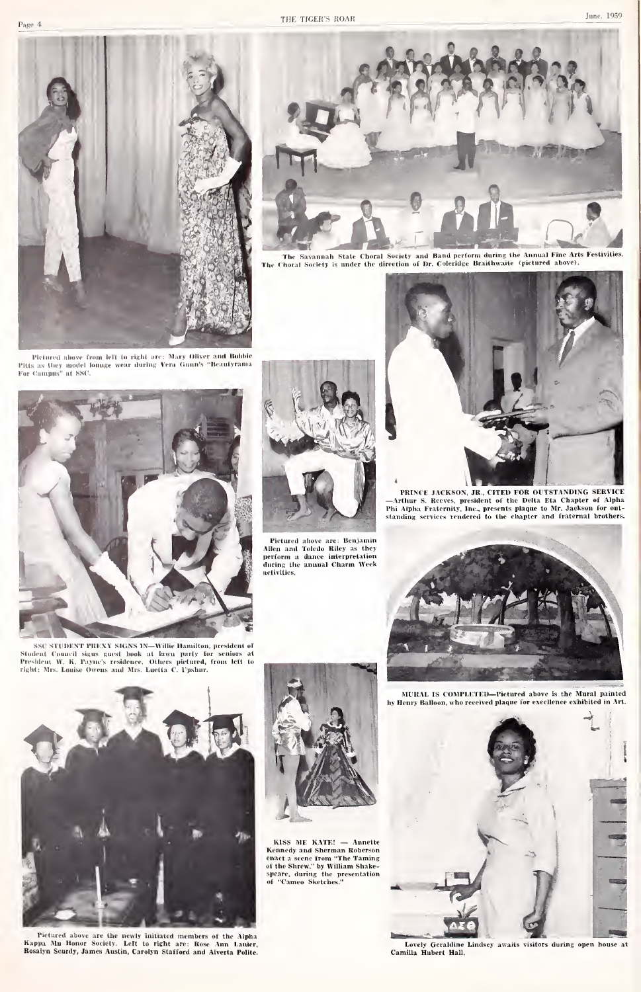Page 4





The Savannah State Choral Society and Band perform during the Annual Fine Arts Festivity<br>The Choral Society is under the direction of Dr. Coleridge Braithwaite (pictured above).

Pictured above from left to right are: Mary Oliver and Bobbie<br>Pitts as they model lounge wear during Vera Gunn's "Beautyrama<br>For Campus" at SSC.



SSC STUDENT PREXY SIGNS IN—Willie Hamilton, president of Student Council signs guest book at lawn party for seniors at President W. K. Payne's reddence. Others pictured, from left to right; Mrs. Louise Owens and Mrs. Luci



Pictured above are: Benjamin Pietured above arc: Benjamin<br>Allen and Toledo Riley as they<br>perform a dance interpretation<br>during the annual Charm Week<br>activities,



PRINCE JACKSON, JR., CITED FOR OUTSTANDING SERVICE-<br>Arthur S. Reeves, president of the Delta Eta Chapter of Alpha<br>Phi Alpha Fraternity, Inc., presents plaque to Mr. Jackson for out-<br>standing services rendered to the chapte



MURAL IS COMPLETED-Pictured above is the Mural painted<br>by Henry Balloon, who received plaque for exectlence exhibited in Art.



Pictured above are the newly initiated members of the Aipha Kappa Mu Honor Society. Left to right are: Rose Ann Lanier, Rosalyn Scurdy, James Austin, Carolyn Stafford and Aiverta Polite.



KISS ME KATE! - Annette KISS ME KATE! — Annette<br>Kennedy and Sherman Roberson<br>enact a scene from "The Taming<br>of the Shrew," by William Shake-<br>speare, during the presentation<br>of "Cameo Sketches."



Lovely Geraldine<br>Camilla Hubert Hall, Lindsey awaits visitors during open house at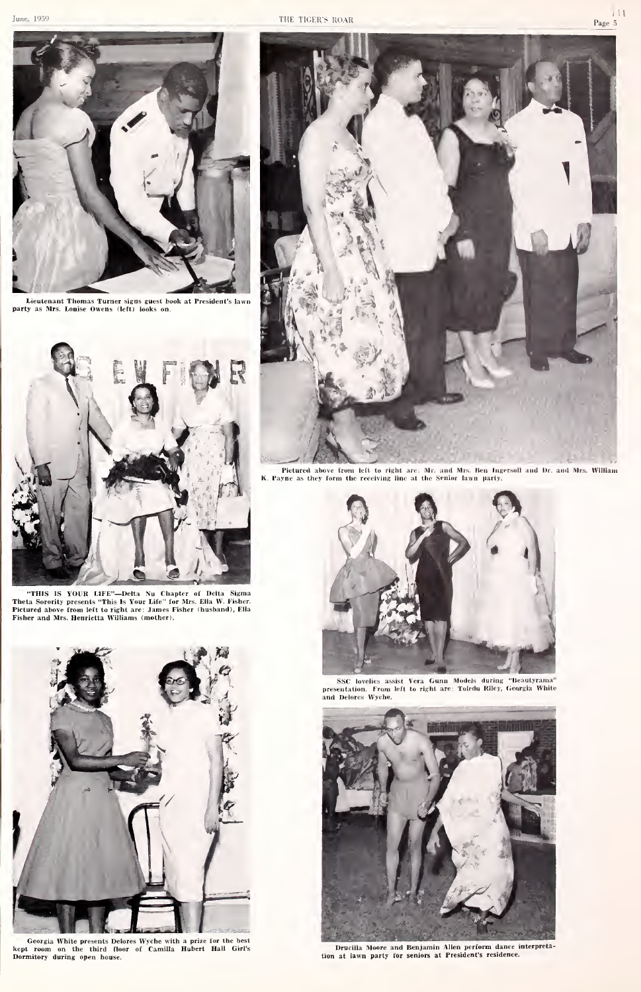

Lieutenant Thomas Turner signs guest book at President's lawn<br>party as Mrs. Louise Owens (left) jooks on.



"THIS IS YOUR LIFE"—Delta Nu Chapter of Delta Sigma<br>Theta Sorotiy presents "This is Your Life" for Mrs. Ella W. Fisher.<br>Pictured above from left to right are: James Fisher (husband), Ella<br>Fisher and Mrs. Henrictta Williams



Georgia White presents Delores Wyche with a prize for the best kept room on the third floor of Camilla Hubert Hall Girl's<br>Dormitory- during open house.



Pictured above from left to right are: Mr. and Mrs. Ben Ingersoll and Dr. and Mrs. William K. Payne as they form the receiving line at the Senior lawn party.



SSC lovelies assist Vera Gunn Models during "Beautyrama"<br>sentation, From left to right are: Toledu Riley, Georgia White and Delores Wyche,



Drucilla Moore and Benjamin Alien perform dance interpreta-tion at lawn party for seniors at President's residence.